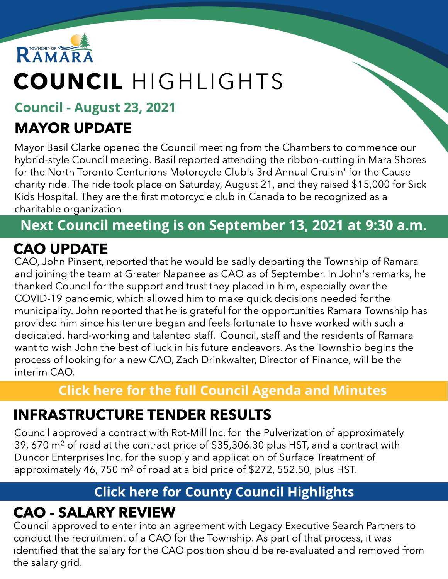

# COUNCIL HIGHLIGHTS

#### Council - August 23, 2021

## MAYOR UPDATE

Mayor Basil Clarke opened the Council meeting from the Chambers to commence our hybrid-style Council meeting. Basil reported attending the ribbon-cutting in Mara Shores for the North Toronto Centurions Motorcycle Club's 3rd Annual Cruisin' for the Cause charity ride. The ride took place on Saturday, August 21, and they raised \$15,000 for Sick Kids Hospital. They are the first motorcycle club in Canada to be recognized as a charitable organization.

#### Next Council meeting is on September 13, 2021 at 9:30 a.m.

#### CAO UPDATE

CAO, John Pinsent, reported that he would be sadly departing the Township of Ramara and joining the team at Greater Napanee as CAO as of September. In John's remarks, he thanked Council for the support and trust they placed in him, especially over the COVID-19 pandemic, which allowed him to make quick decisions needed for the municipality. John reported that he is grateful for the opportunities Ramara Township has provided him since his tenure began and feels fortunate to have worked with such a dedicated, hard-working and talented staff. Council, staff and the residents of Ramara want to wish John the best of luck in his future endeavors. As the Township begins the process of looking for a new CAO, Zach Drinkwalter, Director of Finance, will be the interim CAO.

#### **[Click](https://ramara.civicweb.net/portal/) [here](https://ramara.civicweb.net/portal/) [for](https://ramara.civicweb.net/portal/) t[he](https://ramara.civicweb.net/portal/) [full](https://ramara.civicweb.net/portal/) [Council](https://ramara.civicweb.net/portal/) [Agenda](https://ramara.civicweb.net/portal/) [and](https://ramara.civicweb.net/portal/) [Minut](https://ramara.civicweb.net/portal/)es**

### INFRASTRUCTURE TENDER RESULTS

Council approved a contract with Rot-Mill Inc. for the Pulverization of approximately 39, 670 m<sup>2</sup> of road at the contract price of \$35,306.30 plus HST, and a contract with Duncor Enterprises Inc. for the supply and application of Surface Treatment of approximately 46, 750 m<sup>2</sup> of road at a bid price of \$272, 552.50, plus HST.

#### **[Click](https://www.simcoe.ca/dpt/ccd/newsletters) [here](https://www.simcoe.ca/dpt/ccd/newsletters) [for](https://www.simcoe.ca/dpt/ccd/newsletters) [Count](https://www.simcoe.ca/dpt/ccd/newsletters)y [Council](https://www.simcoe.ca/dpt/ccd/newsletters) [Highlight](https://www.simcoe.ca/dpt/ccd/newsletters)s**

### CAO - SALARY REVIEW

Council approved to enter into an agreement with Legacy Executive Search Partners to conduct the recruitment of a CAO for the Township. As part of that process, it was identified that the salary for the CAO position should be re-evaluated and removed from the salary grid.